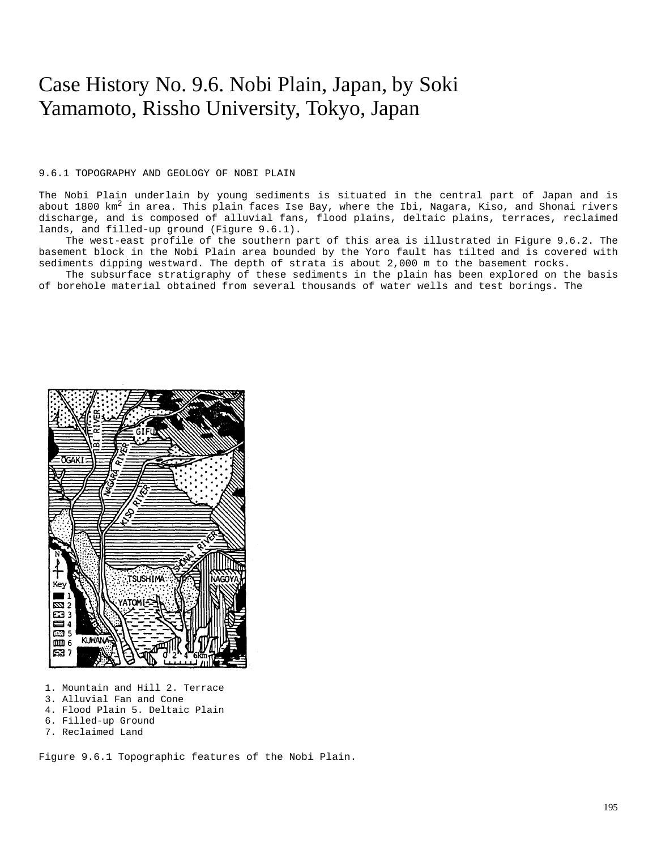# Case History No. 9.6. Nobi Plain, Japan, by Soki Yamamoto, Rissho University, Tokyo, Japan

### 9.6.1 TOPOGRAPHY AND GEOLOGY OF NOBI PLAIN

The Nobi Plain underlain by young sediments is situated in the central part of Japan and is about 1800  $km^2$  in area. This plain faces Ise Bay, where the Ibi, Nagara, Kiso, and Shonai rivers discharge, and is composed of alluvial fans, flood plains, deltaic plains, terraces, reclaimed lands, and filled-up ground (Figure 9.6.1).

The west-east profile of the southern part of this area is illustrated in Figure 9.6.2. The basement block in the Nobi Plain area bounded by the Yoro fault has tilted and is covered with sediments dipping westward. The depth of strata is about 2,000 m to the basement rocks.

The subsurface stratigraphy of these sediments in the plain has been explored on the basis of borehole material obtained from several thousands of water wells and test borings. The



- 1. Mountain and Hill 2. Terrace
- 3. Alluvial Fan and Cone
- 4. Flood Plain 5. Deltaic Plain
- 6. Filled-up Ground
- 7. Reclaimed Land

Figure 9.6.1 Topographic features of the Nobi Plain.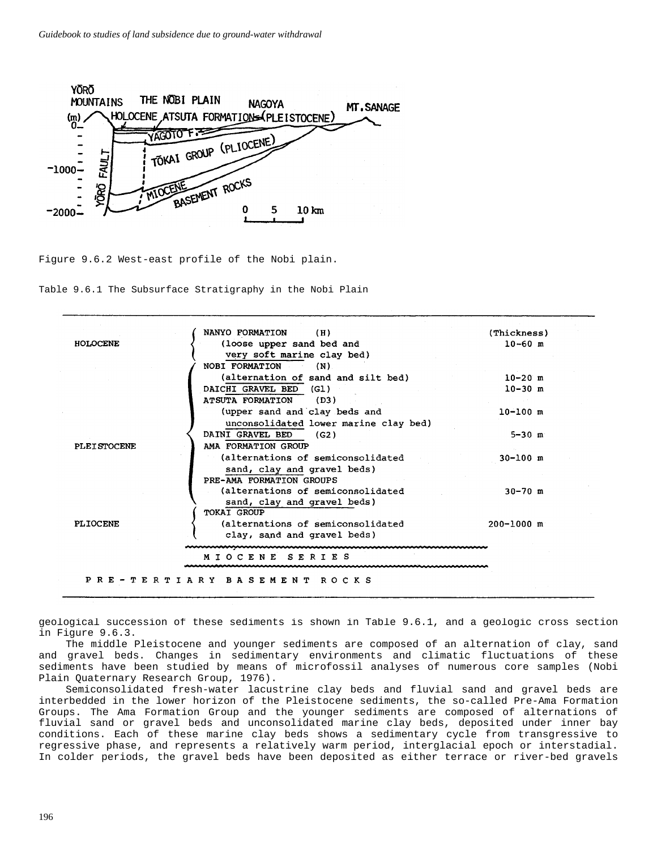

Figure 9.6.2 West-east profile of the Nobi plain.

Table 9.6.1 The Subsurface Stratigraphy in the Nobi Plain



geological succession of these sediments is shown in Table 9.6.1, and a geologic cross section in Figure 9.6.3.

The middle Pleistocene and younger sediments are composed of an alternation of clay, sand and gravel beds. Changes in sedimentary environments and climatic fluctuations of these sediments have been studied by means of microfossil analyses of numerous core samples (Nobi Plain Quaternary Research Group, 1976).

Semiconsolidated fresh-water lacustrine clay beds and fluvial sand and gravel beds are interbedded in the lower horizon of the Pleistocene sediments, the so-called Pre-Ama Formation Groups. The Ama Formation Group and the younger sediments are composed of alternations of fluvial sand or gravel beds and unconsolidated marine clay beds, deposited under inner bay conditions. Each of these marine clay beds shows a sedimentary cycle from transgressive to regressive phase, and represents a relatively warm period, interglacial epoch or interstadial. In colder periods, the gravel beds have been deposited as either terrace or river-bed gravels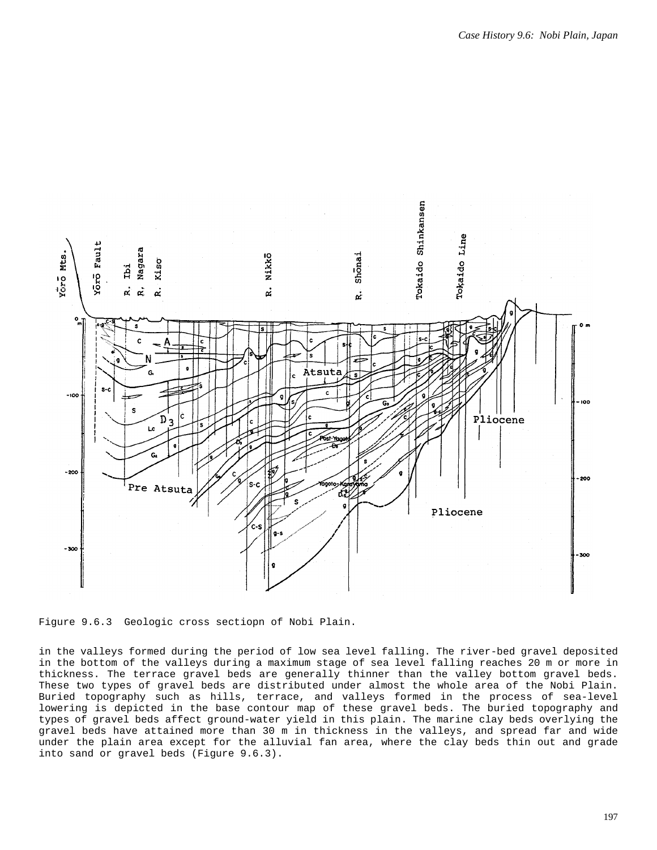

Figure 9.6.3 Geologic cross sectiopn of Nobi Plain.

in the valleys formed during the period of low sea level falling. The river-bed gravel deposited in the bottom of the valleys during a maximum stage of sea level falling reaches 20 m or more in thickness. The terrace gravel beds are generally thinner than the valley bottom gravel beds. These two types of gravel beds are distributed under almost the whole area of the Nobi Plain. Buried topography such as hills, terrace, and valleys formed in the process of sea-level lowering is depicted in the base contour map of these gravel beds. The buried topography and types of gravel beds affect ground-water yield in this plain. The marine clay beds overlying the gravel beds have attained more than 30 m in thickness in the valleys, and spread far and wide under the plain area except for the alluvial fan area, where the clay beds thin out and grade into sand or gravel beds (Figure 9.6.3).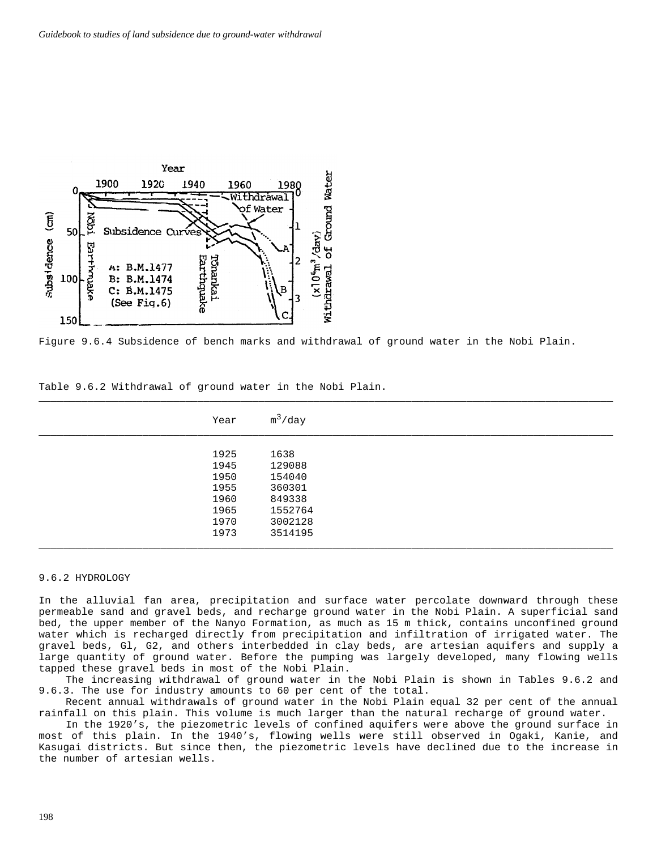

Figure 9.6.4 Subsidence of bench marks and withdrawal of ground water in the Nobi Plain.

| Year | $m^3$ /day |
|------|------------|
|      |            |
| 1925 | 1638       |
| 1945 | 129088     |
| 1950 | 154040     |
| 1955 | 360301     |
| 1960 | 849338     |
| 1965 | 1552764    |
| 1970 | 3002128    |
| 1973 | 3514195    |
|      |            |

 $\Box$ 

Table 9.6.2 Withdrawal of ground water in the Nobi Plain.

# 9.6.2 HYDROLOGY

In the alluvial fan area, precipitation and surface water percolate downward through these permeable sand and gravel beds, and recharge ground water in the Nobi Plain. A superficial sand bed, the upper member of the Nanyo Formation, as much as 15 m thick, contains unconfined ground water which is recharged directly from precipitation and infiltration of irrigated water. The gravel beds, Gl, G2, and others interbedded in clay beds, are artesian aquifers and supply a large quantity of ground water. Before the pumping was largely developed, many flowing wells tapped these gravel beds in most of the Nobi Plain.

The increasing withdrawal of ground water in the Nobi Plain is shown in Tables 9.6.2 and 9.6.3. The use for industry amounts to 60 per cent of the total.

Recent annual withdrawals of ground water in the Nobi Plain equal 32 per cent of the annual rainfall on this plain. This volume is much larger than the natural recharge of ground water.

In the 1920's, the piezometric levels of confined aquifers were above the ground surface in most of this plain. In the 1940's, flowing wells were still observed in Ogaki, Kanie, and Kasugai districts. But since then, the piezometric levels have declined due to the increase in the number of artesian wells.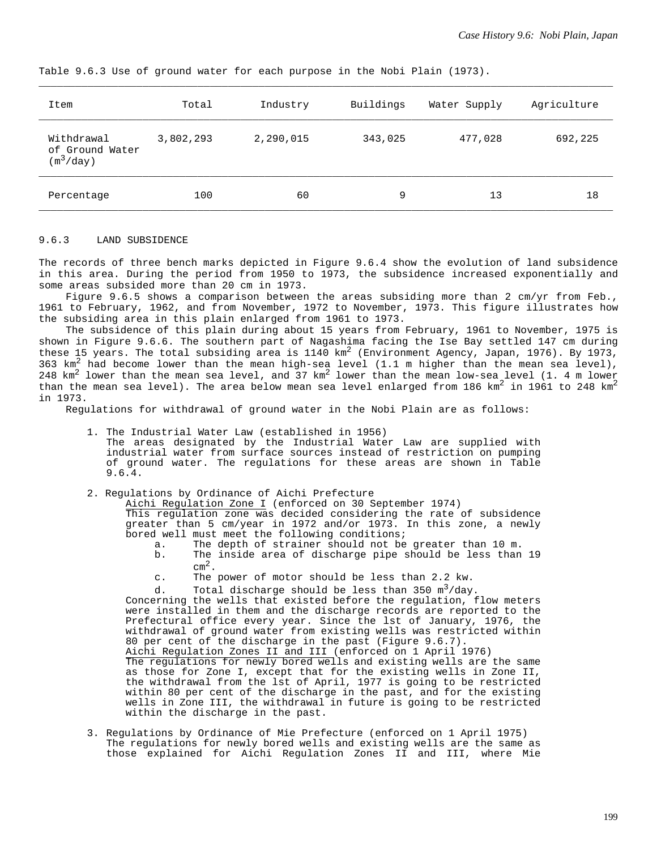| Item                                         | Total     | Industry  | Buildings | Water Supply | Agriculture |
|----------------------------------------------|-----------|-----------|-----------|--------------|-------------|
| Withdrawal<br>of Ground Water<br>$(m^3/day)$ | 3,802,293 | 2,290,015 | 343,025   | 477,028      | 692,225     |
| Percentage                                   | 100       | 60        | 9         | 13           | 18          |

Table 9.6.3 Use of ground water for each purpose in the Nobi Plain (1973).

#### 9.6.3 LAND SUBSIDENCE

The records of three bench marks depicted in Figure 9.6.4 show the evolution of land subsidence in this area. During the period from 1950 to 1973, the subsidence increased exponentially and some areas subsided more than 20 cm in 1973.

Figure 9.6.5 shows a comparison between the areas subsiding more than 2 cm/yr from Feb., 1961 to February, 1962, and from November, 1972 to November, 1973. This figure illustrates how the subsiding area in this plain enlarged from 1961 to 1973.

The subsidence of this plain during about 15 years from February, 1961 to November, 1975 is shown in Figure 9.6.6. The southern part of Nagashima facing the Ise Bay settled 147 cm during these 15 years. The total subsiding area is 1140 km<sup>2</sup> (Environment Agency, Japan, 1976). By 1973, 363 km2 had become lower than the mean high-sea level (1.1 m higher than the mean sea level), 248 km<sup>2</sup> lower than the mean sea level, and  $37$  km<sup>2</sup> lower than the mean low-sea level (1. 4 m lower than the mean sea level). The area below mean sea level enlarged from 186 km<sup>2</sup> in 1961 to 248 km<sup>2</sup> in 1973.

Regulations for withdrawal of ground water in the Nobi Plain are as follows:

- 1. The Industrial Water Law (established in 1956) The areas designated by the Industrial Water Law are supplied with industrial water from surface sources instead of restriction on pumping of ground water. The regulations for these areas are shown in Table 9.6.4.
- 2. Regulations by Ordinance of Aichi Prefecture

Aichi Regulation Zone I (enforced on 30 September 1974)

This regulation zone was decided considering the rate of subsidence greater than 5 cm/year in 1972 and/or 1973. In this zone, a newly bored well must meet the following conditions;

- a. The depth of strainer should not be greater than 10 m.
- The inside area of discharge pipe should be less than 19  $cm^2$ .<br>c. The power of motor should be less than 2.2 kw.
- 

d. Total discharge should be less than  $350 \text{ m}^3/\text{day}$ .

Concerning the wells that existed before the regulation, flow meters were installed in them and the discharge records are reported to the Prefectural office every year. Since the lst of January, 1976, the withdrawal of ground water from existing wells was restricted within 80 per cent of the discharge in the past (Figure 9.6.7).

Aichi Regulation Zones II and III (enforced on 1 April 1976) The regulations for newly bored wells and existing wells are the same as those for Zone I, except that for the existing wells in Zone II, the withdrawal from the lst of April, 1977 is going to be restricted within 80 per cent of the discharge in the past, and for the existing wells in Zone III, the withdrawal in future is going to be restricted within the discharge in the past.

3. Regulations by Ordinance of Mie Prefecture (enforced on 1 April 1975) The regulations for newly bored wells and existing wells are the same as those explained for Aichi Regulation Zones II and III, where Mie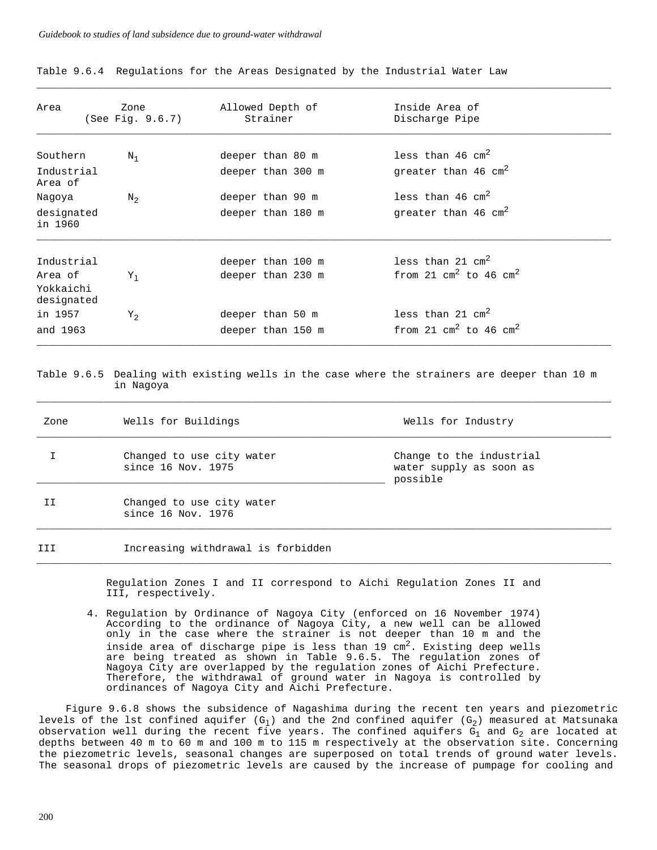Table 9.6.4 Regulations for the Areas Designated by the Industrial Water Law

| Area                               | Zone<br>(See Fig. 9.6.7) | Allowed Depth of<br>Strainer | Inside Area of<br>Discharge Pipe |  |
|------------------------------------|--------------------------|------------------------------|----------------------------------|--|
| Southern                           | $N_1$                    | deeper than 80 m             | less than 46 $cm2$               |  |
| Industrial<br>Area of              |                          | deeper than 300 m            | qreater than 46 $cm2$            |  |
| Nagoya                             | $N_{2}$                  | deeper than 90 m             | less than 46 $cm2$               |  |
| designated<br>in 1960              |                          | deeper than 180 m            | qreater than 46 $cm2$            |  |
| Industrial                         |                          | deeper than 100 m            | less than 21 $cm2$               |  |
| Area of<br>Yokkaichi<br>designated | $Y_1$                    | deeper than 230 m            | from 21 $cm2$ to 46 $cm2$        |  |
| in 1957                            | $Y_2$                    | deeper than 50 m             | less than 21 $cm2$               |  |
| and 1963                           |                          | deeper than 150 m            | from 21 $cm2$ to 46 $cm2$        |  |

 $\bot$  , and the contribution of the contribution of the contribution of the contribution of the contribution of  $\bot$ 

# Table 9.6.5 Dealing with existing wells in the case where the strainers are deeper than 10 m in Nagoya

 $\bot$  , and the contribution of the contribution of the contribution of the contribution of the contribution of  $\bot$ 

| Zone | Wells for Buildings                             | Wells for Industry                                              |
|------|-------------------------------------------------|-----------------------------------------------------------------|
|      | Changed to use city water<br>since 16 Nov. 1975 | Change to the industrial<br>water supply as soon as<br>possible |
|      | Changed to use city water<br>since 16 Nov. 1976 |                                                                 |
| III  | Increasing withdrawal is forbidden              |                                                                 |

Regulation Zones I and II correspond to Aichi Regulation Zones II and III, respectively.

 $\bot$  , and the contribution of the contribution of the contribution of the contribution of the contribution of  $\bot$ 

4. Regulation by Ordinance of Nagoya City (enforced on 16 November 1974) According to the ordinance of Nagoya City, a new well can be allowed only in the case where the strainer is not deeper than 10 m and the inside area of discharge pipe is less than 19  $\text{cm}^2$ . Existing deep wells are being treated as shown in Table 9.6.5. The regulation zones of Nagoya City are overlapped by the regulation zones of Aichi Prefecture. Therefore, the withdrawal of ground water in Nagoya is controlled by ordinances of Nagoya City and Aichi Prefecture.

Figure 9.6.8 shows the subsidence of Nagashima during the recent ten years and piezometric levels of the lst confined aquifer (G<sub>1</sub>) and the 2nd confined aquifer (G<sub>2</sub>) measured at Matsunaka observation well during the recent five years. The confined aquifers  $G_1$  and  $G_2$  are located at depths between 40 m to 60 m and 100 m to 115 m respectively at the observation site. Concerning the piezometric levels, seasonal changes are superposed on total trends of ground water levels. The seasonal drops of piezometric levels are caused by the increase of pumpage for cooling and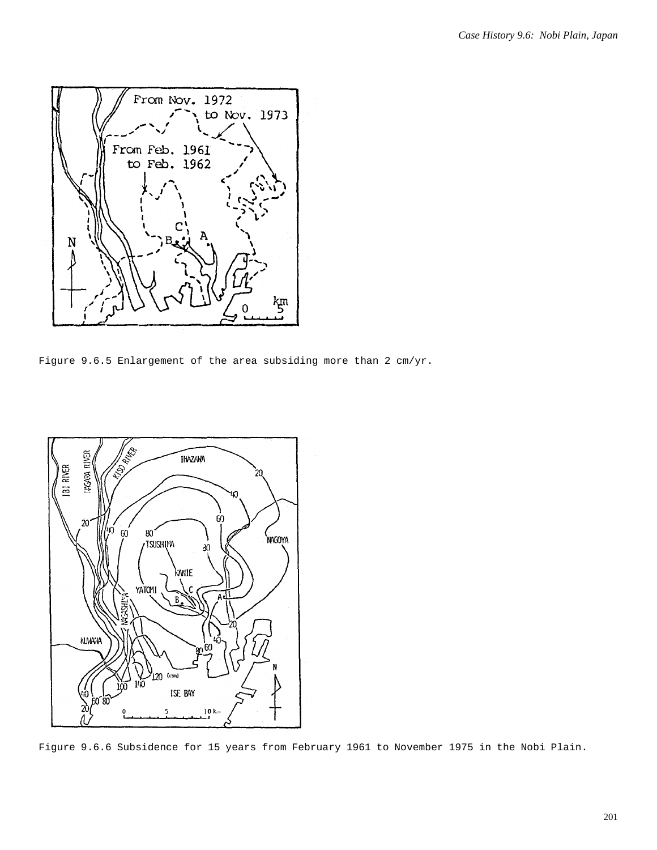

Figure 9.6.5 Enlargement of the area subsiding more than 2 cm/yr.



Figure 9.6.6 Subsidence for 15 years from February 1961 to November 1975 in the Nobi Plain.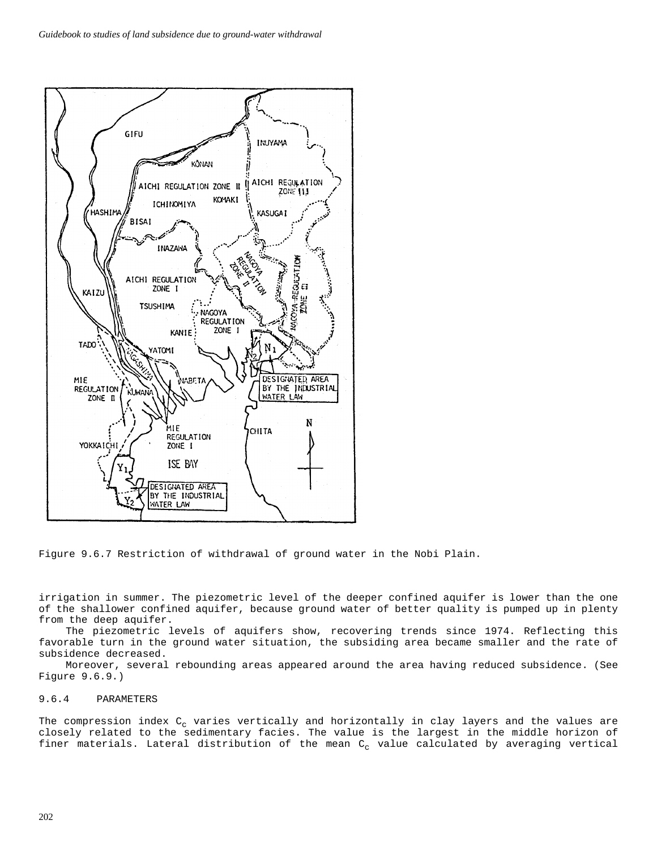

Figure 9.6.7 Restriction of withdrawal of ground water in the Nobi Plain.

irrigation in summer. The piezometric level of the deeper confined aquifer is lower than the one of the shallower confined aquifer, because ground water of better quality is pumped up in plenty from the deep aquifer.

The piezometric levels of aquifers show, recovering trends since 1974. Reflecting this favorable turn in the ground water situation, the subsiding area became smaller and the rate of subsidence decreased.

Moreover, several rebounding areas appeared around the area having reduced subsidence. (See Figure 9.6.9.)

# 9.6.4 PARAMETERS

The compression index  $C_c$  varies vertically and horizontally in clay layers and the values are closely related to the sedimentary facies. The value is the largest in the middle horizon of finer materials. Lateral distribution of the mean  $C_c$  value calculated by averaging vertical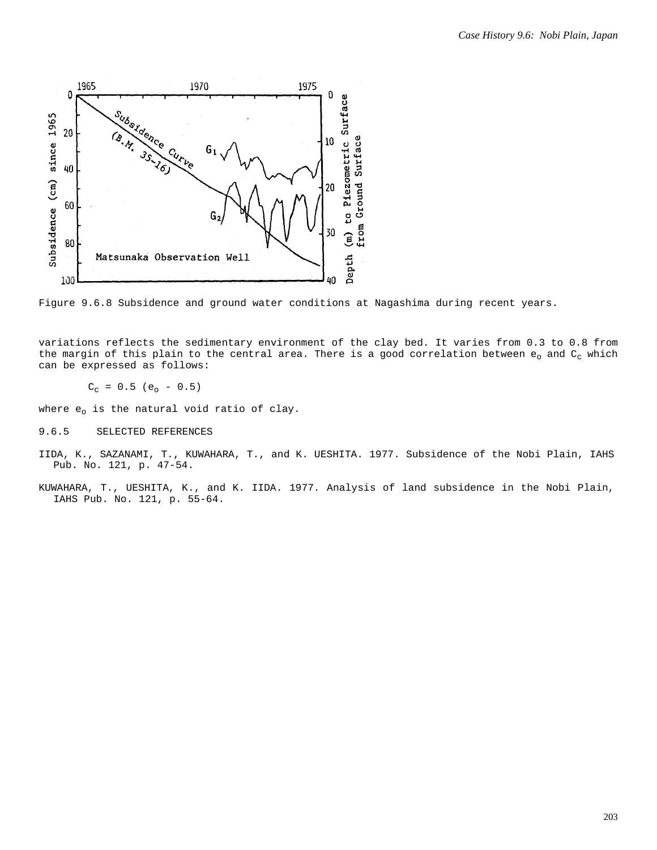

Figure 9.6.8 Subsidence and ground water conditions at Nagashima during recent years.

variations reflects the sedimentary environment of the clay bed. It varies from 0.3 to 0.8 from the margin of this plain to the central area. There is a good correlation between  $e_0$  and  $C_c$  which can be expressed as follows:

 $C_c = 0.5 (e_o - 0.5)$ 

where  $e_0$  is the natural void ratio of clay.

- 9.6.5 SELECTED REFERENCES
- IIDA, K., SAZANAMI, T., KUWAHARA, T., and K. UESHITA. 1977. Subsidence of the Nobi Plain, IAHS Pub. No. 121, p. 47-54.
- KUWAHARA, T., UESHITA, K., and K. IIDA. 1977. Analysis of land subsidence in the Nobi Plain, IAHS Pub. No. 121, p. 55-64.